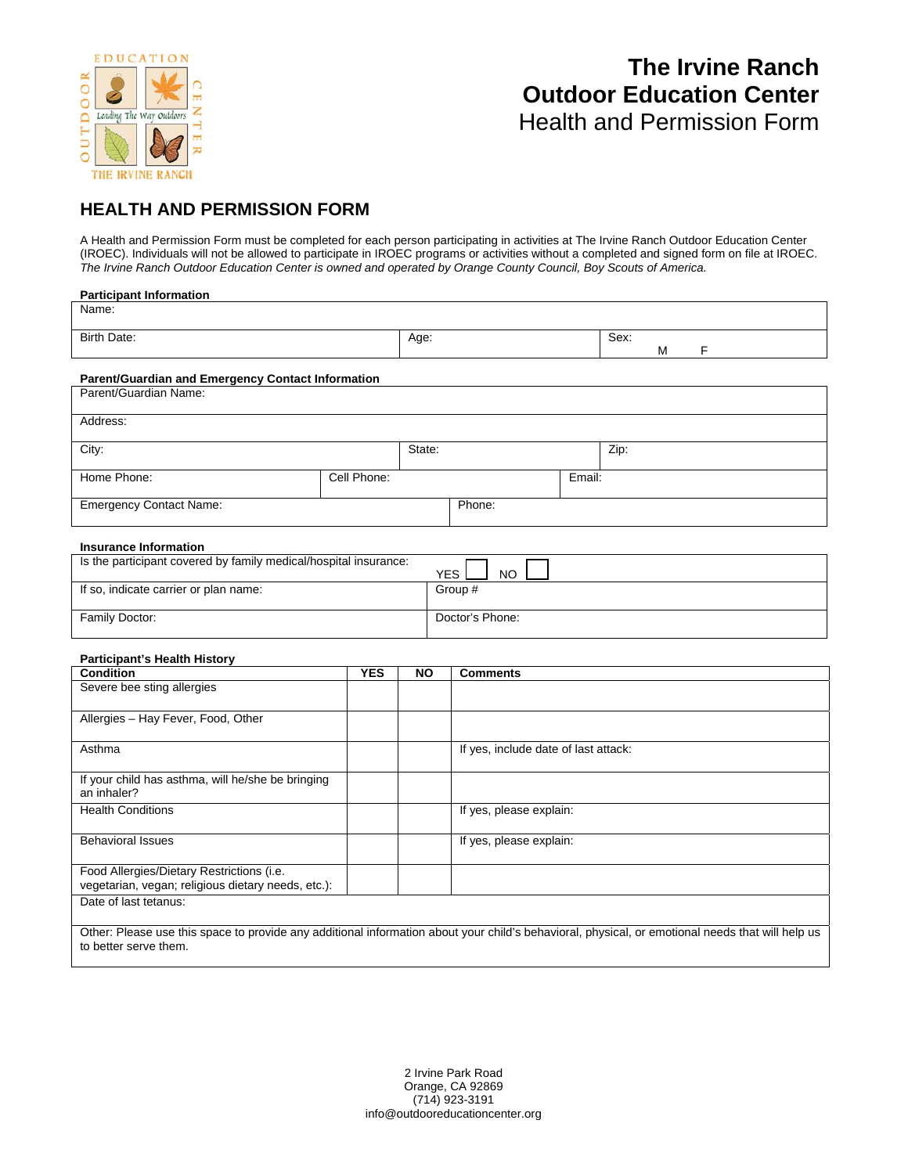

## **The Irvine Ranch Outdoor Education Center** Health and Permission Form

### **HEALTH AND PERMISSION FORM**

A Health and Permission Form must be completed for each person participating in activities at The Irvine Ranch Outdoor Education Center (IROEC). Individuals will not be allowed to participate in IROEC programs or activities without a completed and signed form on file at IROEC. *The Irvine Ranch Outdoor Education Center is owned and operated by Orange County Council, Boy Scouts of America.* 

| <b>Participant Information</b>                                   |             |        |        |        |      |   |   |  |
|------------------------------------------------------------------|-------------|--------|--------|--------|------|---|---|--|
| Name:                                                            |             |        |        |        |      |   |   |  |
|                                                                  |             |        |        |        |      |   |   |  |
| Birth Date:                                                      |             | Age:   |        |        | Sex: | м | F |  |
|                                                                  |             |        |        |        |      |   |   |  |
| <b>Parent/Guardian and Emergency Contact Information</b>         |             |        |        |        |      |   |   |  |
| Parent/Guardian Name:                                            |             |        |        |        |      |   |   |  |
|                                                                  |             |        |        |        |      |   |   |  |
| Address:                                                         |             |        |        |        |      |   |   |  |
| City:                                                            |             | State: |        |        |      |   |   |  |
|                                                                  |             |        |        |        | Zip: |   |   |  |
| Home Phone:                                                      | Cell Phone: |        |        | Email: |      |   |   |  |
|                                                                  |             |        |        |        |      |   |   |  |
| <b>Emergency Contact Name:</b>                                   |             |        | Phone: |        |      |   |   |  |
|                                                                  |             |        |        |        |      |   |   |  |
| <b>Insurance Information</b>                                     |             |        |        |        |      |   |   |  |
| Is the participant covered by family medical/hospital insurance: |             |        |        |        |      |   |   |  |
|                                                                  |             |        |        |        |      |   |   |  |

| Is the participant covered by family medical/hospital insurance: | <b>YES</b><br>NO |
|------------------------------------------------------------------|------------------|
| If so, indicate carrier or plan name:                            | Group #          |
|                                                                  |                  |
| Family Doctor:                                                   | Doctor's Phone:  |

### **Participant's Health History**

| <b>Condition</b>                                                                                | <b>YES</b> | <b>NO</b> | <b>Comments</b>                      |
|-------------------------------------------------------------------------------------------------|------------|-----------|--------------------------------------|
| Severe bee sting allergies                                                                      |            |           |                                      |
| Allergies - Hay Fever, Food, Other                                                              |            |           |                                      |
| Asthma                                                                                          |            |           | If yes, include date of last attack: |
| If your child has asthma, will he/she be bringing<br>an inhaler?                                |            |           |                                      |
| <b>Health Conditions</b>                                                                        |            |           | If yes, please explain:              |
| <b>Behavioral Issues</b>                                                                        |            |           | If yes, please explain:              |
| Food Allergies/Dietary Restrictions (i.e.<br>vegetarian, vegan; religious dietary needs, etc.): |            |           |                                      |
| Date of last tetanus:                                                                           |            |           |                                      |

Other: Please use this space to provide any additional information about your child's behavioral, physical, or emotional needs that will help us to better serve them.